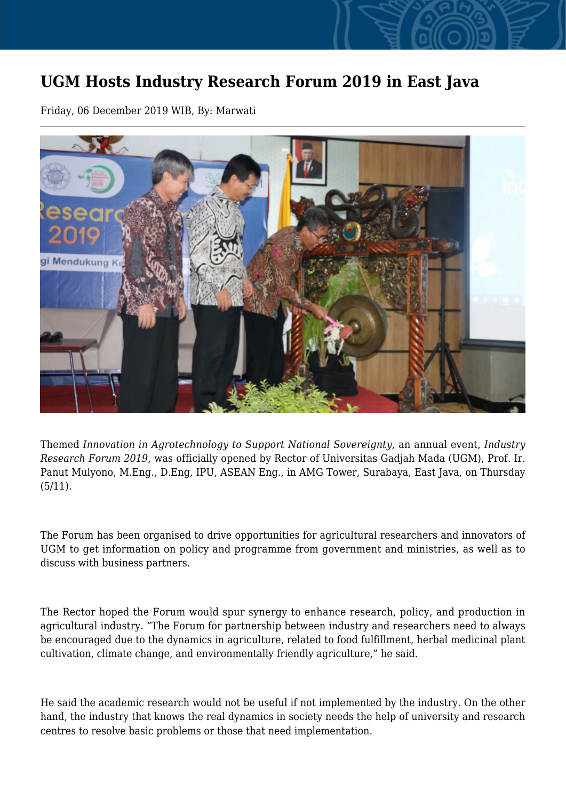## **UGM Hosts Industry Research Forum 2019 in East Java**

Friday, 06 December 2019 WIB, By: Marwati



Themed *Innovation in Agrotechnology to Support National Sovereignty,* an annual event, *Industry Research Forum 2019,* was officially opened by Rector of Universitas Gadjah Mada (UGM), Prof. Ir. Panut Mulyono, M.Eng., D.Eng, IPU, ASEAN Eng., in AMG Tower, Surabaya, East Java, on Thursday (5/11).

The Forum has been organised to drive opportunities for agricultural researchers and innovators of UGM to get information on policy and programme from government and ministries, as well as to discuss with business partners.

The Rector hoped the Forum would spur synergy to enhance research, policy, and production in agricultural industry. "The Forum for partnership between industry and researchers need to always be encouraged due to the dynamics in agriculture, related to food fulfillment, herbal medicinal plant cultivation, climate change, and environmentally friendly agriculture," he said.

He said the academic research would not be useful if not implemented by the industry. On the other hand, the industry that knows the real dynamics in society needs the help of university and research centres to resolve basic problems or those that need implementation.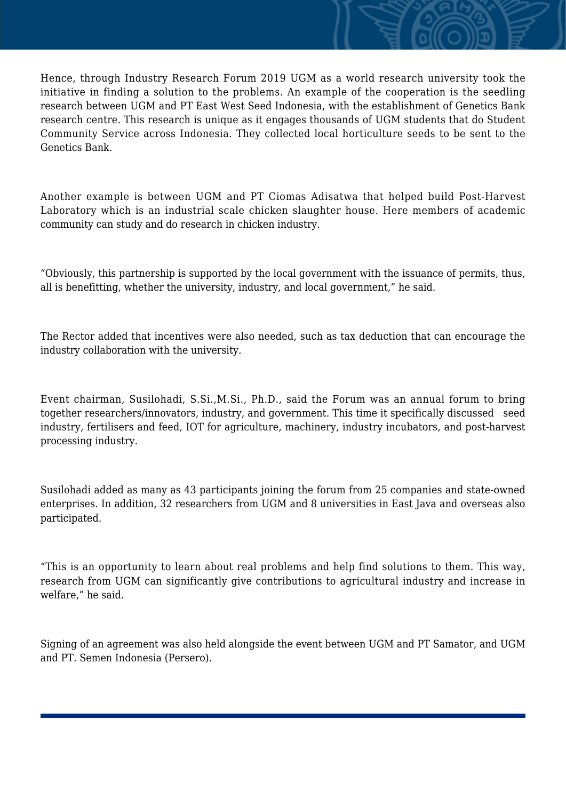Hence, through Industry Research Forum 2019 UGM as a world research university took the initiative in finding a solution to the problems. An example of the cooperation is the seedling research between UGM and PT East West Seed Indonesia, with the establishment of Genetics Bank research centre. This research is unique as it engages thousands of UGM students that do Student Community Service across Indonesia. They collected local horticulture seeds to be sent to the Genetics Bank.

Another example is between UGM and PT Ciomas Adisatwa that helped build Post-Harvest Laboratory which is an industrial scale chicken slaughter house. Here members of academic community can study and do research in chicken industry.

"Obviously, this partnership is supported by the local government with the issuance of permits, thus, all is benefitting, whether the university, industry, and local government," he said.

The Rector added that incentives were also needed, such as tax deduction that can encourage the industry collaboration with the university.

Event chairman, Susilohadi, S.Si.,M.Si., Ph.D., said the Forum was an annual forum to bring together researchers/innovators, industry, and government. This time it specifically discussed seed industry, fertilisers and feed, IOT for agriculture, machinery, industry incubators, and post-harvest processing industry.

Susilohadi added as many as 43 participants joining the forum from 25 companies and state-owned enterprises. In addition, 32 researchers from UGM and 8 universities in East Java and overseas also participated.

"This is an opportunity to learn about real problems and help find solutions to them. This way, research from UGM can significantly give contributions to agricultural industry and increase in welfare," he said.

Signing of an agreement was also held alongside the event between UGM and PT Samator, and UGM and PT. Semen Indonesia (Persero).